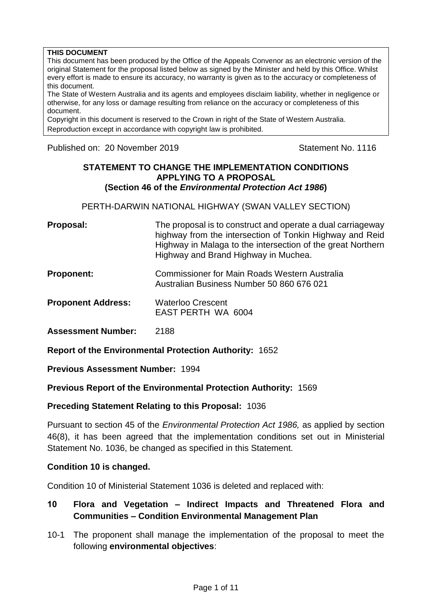#### **THIS DOCUMENT**

This document has been produced by the Office of the Appeals Convenor as an electronic version of the original Statement for the proposal listed below as signed by the Minister and held by this Office. Whilst every effort is made to ensure its accuracy, no warranty is given as to the accuracy or completeness of this document.

The State of Western Australia and its agents and employees disclaim liability, whether in negligence or otherwise, for any loss or damage resulting from reliance on the accuracy or completeness of this document.

Copyright in this document is reserved to the Crown in right of the State of Western Australia. Reproduction except in accordance with copyright law is prohibited.

Published on: 20 November 2019 **Statement No. 1116** 

#### **STATEMENT TO CHANGE THE IMPLEMENTATION CONDITIONS APPLYING TO A PROPOSAL (Section 46 of the** *Environmental Protection Act 1986***)**

PERTH-DARWIN NATIONAL HIGHWAY (SWAN VALLEY SECTION)

| Proposal: | The proposal is to construct and operate a dual carriageway |
|-----------|-------------------------------------------------------------|
|           | highway from the intersection of Tonkin Highway and Reid    |
|           | Highway in Malaga to the intersection of the great Northern |
|           | Highway and Brand Highway in Muchea.                        |

- **Proponent:** Commissioner for Main Roads Western Australia Australian Business Number 50 860 676 021
- **Proponent Address:** Waterloo Crescent EAST PERTH WA 6004

Assessment Number: 2188

**Report of the Environmental Protection Authority:** 1652

**Previous Assessment Number:** 1994

**Previous Report of the Environmental Protection Authority:** 1569

#### **Preceding Statement Relating to this Proposal:** 1036

Pursuant to section 45 of the *Environmental Protection Act 1986,* as applied by section 46(8), it has been agreed that the implementation conditions set out in Ministerial Statement No. 1036, be changed as specified in this Statement.

#### **Condition 10 is changed.**

Condition 10 of Ministerial Statement 1036 is deleted and replaced with:

## **10 Flora and Vegetation – Indirect Impacts and Threatened Flora and Communities – Condition Environmental Management Plan**

10-1 The proponent shall manage the implementation of the proposal to meet the following **environmental objectives**: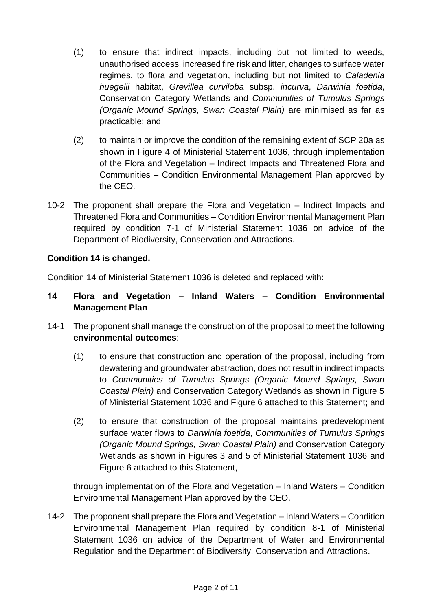- (1) to ensure that indirect impacts, including but not limited to weeds, unauthorised access, increased fire risk and litter, changes to surface water regimes, to flora and vegetation, including but not limited to *Caladenia huegelii* habitat, *Grevillea curviloba* subsp. *incurva*, *Darwinia foetida*, Conservation Category Wetlands and *Communities of Tumulus Springs (Organic Mound Springs, Swan Coastal Plain)* are minimised as far as practicable; and
- (2) to maintain or improve the condition of the remaining extent of SCP 20a as shown in Figure 4 of Ministerial Statement 1036, through implementation of the Flora and Vegetation – Indirect Impacts and Threatened Flora and Communities – Condition Environmental Management Plan approved by the CEO.
- 10-2 The proponent shall prepare the Flora and Vegetation Indirect Impacts and Threatened Flora and Communities – Condition Environmental Management Plan required by condition 7-1 of Ministerial Statement 1036 on advice of the Department of Biodiversity, Conservation and Attractions.

## **Condition 14 is changed.**

Condition 14 of Ministerial Statement 1036 is deleted and replaced with:

## **14 Flora and Vegetation – Inland Waters – Condition Environmental Management Plan**

- 14-1 The proponent shall manage the construction of the proposal to meet the following **environmental outcomes**:
	- (1) to ensure that construction and operation of the proposal, including from dewatering and groundwater abstraction, does not result in indirect impacts to *Communities of Tumulus Springs (Organic Mound Springs, Swan Coastal Plain)* and Conservation Category Wetlands as shown in Figure 5 of Ministerial Statement 1036 and Figure 6 attached to this Statement; and
	- (2) to ensure that construction of the proposal maintains predevelopment surface water flows to *Darwinia foetida*, *Communities of Tumulus Springs (Organic Mound Springs, Swan Coastal Plain)* and Conservation Category Wetlands as shown in Figures 3 and 5 of Ministerial Statement 1036 and Figure 6 attached to this Statement,

through implementation of the Flora and Vegetation – Inland Waters – Condition Environmental Management Plan approved by the CEO.

14-2 The proponent shall prepare the Flora and Vegetation – Inland Waters – Condition Environmental Management Plan required by condition 8-1 of Ministerial Statement 1036 on advice of the Department of Water and Environmental Regulation and the Department of Biodiversity, Conservation and Attractions.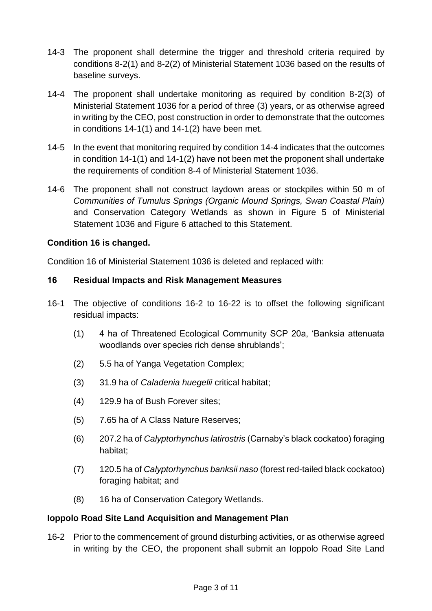- 14-3 The proponent shall determine the trigger and threshold criteria required by conditions 8-2(1) and 8-2(2) of Ministerial Statement 1036 based on the results of baseline surveys.
- 14-4 The proponent shall undertake monitoring as required by condition 8-2(3) of Ministerial Statement 1036 for a period of three (3) years, or as otherwise agreed in writing by the CEO, post construction in order to demonstrate that the outcomes in conditions 14-1(1) and 14-1(2) have been met.
- 14-5 In the event that monitoring required by condition 14-4 indicates that the outcomes in condition 14-1(1) and 14-1(2) have not been met the proponent shall undertake the requirements of condition 8-4 of Ministerial Statement 1036.
- 14-6 The proponent shall not construct laydown areas or stockpiles within 50 m of *Communities of Tumulus Springs (Organic Mound Springs, Swan Coastal Plain)* and Conservation Category Wetlands as shown in Figure 5 of Ministerial Statement 1036 and Figure 6 attached to this Statement.

## **Condition 16 is changed.**

Condition 16 of Ministerial Statement 1036 is deleted and replaced with:

# **16 Residual Impacts and Risk Management Measures**

- 16-1 The objective of conditions 16-2 to 16-22 is to offset the following significant residual impacts:
	- (1) 4 ha of Threatened Ecological Community SCP 20a, 'Banksia attenuata woodlands over species rich dense shrublands';
	- (2) 5.5 ha of Yanga Vegetation Complex;
	- (3) 31.9 ha of *Caladenia huegelii* critical habitat;
	- (4) 129.9 ha of Bush Forever sites;
	- (5) 7.65 ha of A Class Nature Reserves;
	- (6) 207.2 ha of *Calyptorhynchus latirostris* (Carnaby's black cockatoo) foraging habitat;
	- (7) 120.5 ha of *Calyptorhynchus banksii naso* (forest red-tailed black cockatoo) foraging habitat; and
	- (8) 16 ha of Conservation Category Wetlands.

## **Ioppolo Road Site Land Acquisition and Management Plan**

16-2 Prior to the commencement of ground disturbing activities, or as otherwise agreed in writing by the CEO, the proponent shall submit an Ioppolo Road Site Land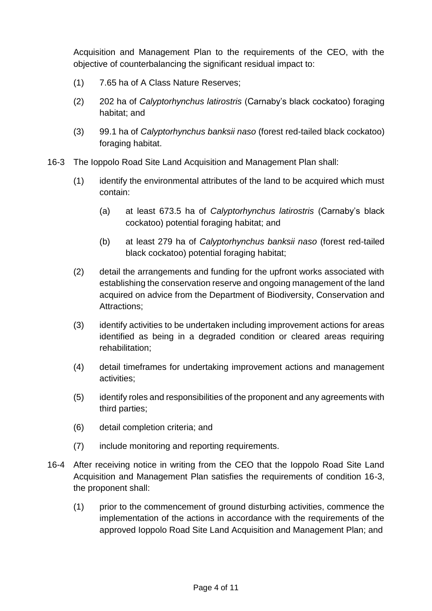Acquisition and Management Plan to the requirements of the CEO, with the objective of counterbalancing the significant residual impact to:

- (1) 7.65 ha of A Class Nature Reserves;
- (2) 202 ha of *Calyptorhynchus latirostris* (Carnaby's black cockatoo) foraging habitat; and
- (3) 99.1 ha of *Calyptorhynchus banksii naso* (forest red-tailed black cockatoo) foraging habitat.
- 16-3 The Ioppolo Road Site Land Acquisition and Management Plan shall:
	- (1) identify the environmental attributes of the land to be acquired which must contain:
		- (a) at least 673.5 ha of *Calyptorhynchus latirostris* (Carnaby's black cockatoo) potential foraging habitat; and
		- (b) at least 279 ha of *Calyptorhynchus banksii naso* (forest red-tailed black cockatoo) potential foraging habitat;
	- (2) detail the arrangements and funding for the upfront works associated with establishing the conservation reserve and ongoing management of the land acquired on advice from the Department of Biodiversity, Conservation and Attractions;
	- (3) identify activities to be undertaken including improvement actions for areas identified as being in a degraded condition or cleared areas requiring rehabilitation;
	- (4) detail timeframes for undertaking improvement actions and management activities;
	- (5) identify roles and responsibilities of the proponent and any agreements with third parties;
	- (6) detail completion criteria; and
	- (7) include monitoring and reporting requirements.
- 16-4 After receiving notice in writing from the CEO that the Ioppolo Road Site Land Acquisition and Management Plan satisfies the requirements of condition 16-3, the proponent shall:
	- (1) prior to the commencement of ground disturbing activities, commence the implementation of the actions in accordance with the requirements of the approved Ioppolo Road Site Land Acquisition and Management Plan; and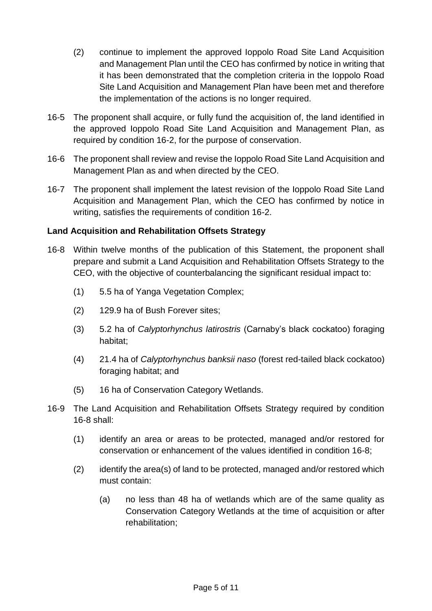- (2) continue to implement the approved Ioppolo Road Site Land Acquisition and Management Plan until the CEO has confirmed by notice in writing that it has been demonstrated that the completion criteria in the Ioppolo Road Site Land Acquisition and Management Plan have been met and therefore the implementation of the actions is no longer required.
- 16-5 The proponent shall acquire, or fully fund the acquisition of, the land identified in the approved Ioppolo Road Site Land Acquisition and Management Plan, as required by condition 16-2, for the purpose of conservation.
- 16-6 The proponent shall review and revise the Ioppolo Road Site Land Acquisition and Management Plan as and when directed by the CEO.
- 16-7 The proponent shall implement the latest revision of the Ioppolo Road Site Land Acquisition and Management Plan, which the CEO has confirmed by notice in writing, satisfies the requirements of condition 16-2.

## **Land Acquisition and Rehabilitation Offsets Strategy**

- 16-8 Within twelve months of the publication of this Statement, the proponent shall prepare and submit a Land Acquisition and Rehabilitation Offsets Strategy to the CEO, with the objective of counterbalancing the significant residual impact to:
	- (1) 5.5 ha of Yanga Vegetation Complex;
	- (2) 129.9 ha of Bush Forever sites;
	- (3) 5.2 ha of *Calyptorhynchus latirostris* (Carnaby's black cockatoo) foraging habitat;
	- (4) 21.4 ha of *Calyptorhynchus banksii naso* (forest red-tailed black cockatoo) foraging habitat; and
	- (5) 16 ha of Conservation Category Wetlands.
- 16-9 The Land Acquisition and Rehabilitation Offsets Strategy required by condition 16-8 shall:
	- (1) identify an area or areas to be protected, managed and/or restored for conservation or enhancement of the values identified in condition 16-8;
	- (2) identify the area(s) of land to be protected, managed and/or restored which must contain:
		- (a) no less than 48 ha of wetlands which are of the same quality as Conservation Category Wetlands at the time of acquisition or after rehabilitation;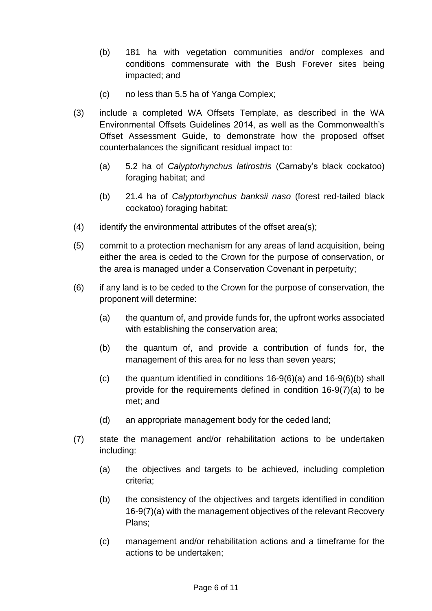- (b) 181 ha with vegetation communities and/or complexes and conditions commensurate with the Bush Forever sites being impacted; and
- (c) no less than 5.5 ha of Yanga Complex;
- (3) include a completed WA Offsets Template, as described in the WA Environmental Offsets Guidelines 2014, as well as the Commonwealth's Offset Assessment Guide, to demonstrate how the proposed offset counterbalances the significant residual impact to:
	- (a) 5.2 ha of *Calyptorhynchus latirostris* (Carnaby's black cockatoo) foraging habitat; and
	- (b) 21.4 ha of *Calyptorhynchus banksii naso* (forest red-tailed black cockatoo) foraging habitat;
- (4) identify the environmental attributes of the offset area(s);
- (5) commit to a protection mechanism for any areas of land acquisition, being either the area is ceded to the Crown for the purpose of conservation, or the area is managed under a Conservation Covenant in perpetuity;
- (6) if any land is to be ceded to the Crown for the purpose of conservation, the proponent will determine:
	- (a) the quantum of, and provide funds for, the upfront works associated with establishing the conservation area;
	- (b) the quantum of, and provide a contribution of funds for, the management of this area for no less than seven years;
	- (c) the quantum identified in conditions  $16-9(6)(a)$  and  $16-9(6)(b)$  shall provide for the requirements defined in condition 16-9(7)(a) to be met; and
	- (d) an appropriate management body for the ceded land;
- (7) state the management and/or rehabilitation actions to be undertaken including:
	- (a) the objectives and targets to be achieved, including completion criteria;
	- (b) the consistency of the objectives and targets identified in condition 16-9(7)(a) with the management objectives of the relevant Recovery Plans;
	- (c) management and/or rehabilitation actions and a timeframe for the actions to be undertaken;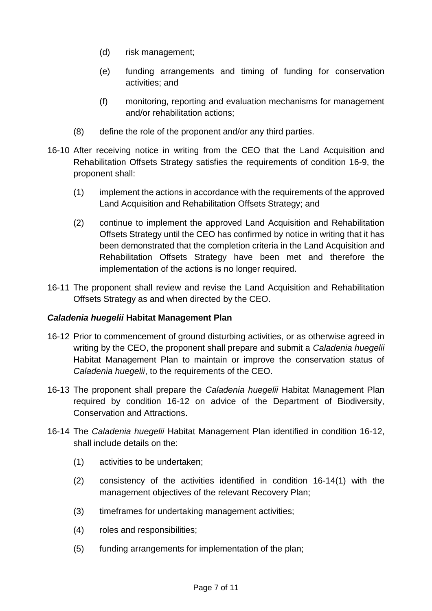- (d) risk management;
- (e) funding arrangements and timing of funding for conservation activities; and
- (f) monitoring, reporting and evaluation mechanisms for management and/or rehabilitation actions;
- (8) define the role of the proponent and/or any third parties.
- 16-10 After receiving notice in writing from the CEO that the Land Acquisition and Rehabilitation Offsets Strategy satisfies the requirements of condition 16-9, the proponent shall:
	- (1) implement the actions in accordance with the requirements of the approved Land Acquisition and Rehabilitation Offsets Strategy; and
	- (2) continue to implement the approved Land Acquisition and Rehabilitation Offsets Strategy until the CEO has confirmed by notice in writing that it has been demonstrated that the completion criteria in the Land Acquisition and Rehabilitation Offsets Strategy have been met and therefore the implementation of the actions is no longer required.
- 16-11 The proponent shall review and revise the Land Acquisition and Rehabilitation Offsets Strategy as and when directed by the CEO.

## *Caladenia huegelii* **Habitat Management Plan**

- 16-12 Prior to commencement of ground disturbing activities, or as otherwise agreed in writing by the CEO, the proponent shall prepare and submit a *Caladenia huegelii* Habitat Management Plan to maintain or improve the conservation status of *Caladenia huegelii*, to the requirements of the CEO.
- 16-13 The proponent shall prepare the *Caladenia huegelii* Habitat Management Plan required by condition 16-12 on advice of the Department of Biodiversity, Conservation and Attractions.
- 16-14 The *Caladenia huegelii* Habitat Management Plan identified in condition 16-12, shall include details on the:
	- (1) activities to be undertaken;
	- (2) consistency of the activities identified in condition 16-14(1) with the management objectives of the relevant Recovery Plan;
	- (3) timeframes for undertaking management activities;
	- (4) roles and responsibilities;
	- (5) funding arrangements for implementation of the plan;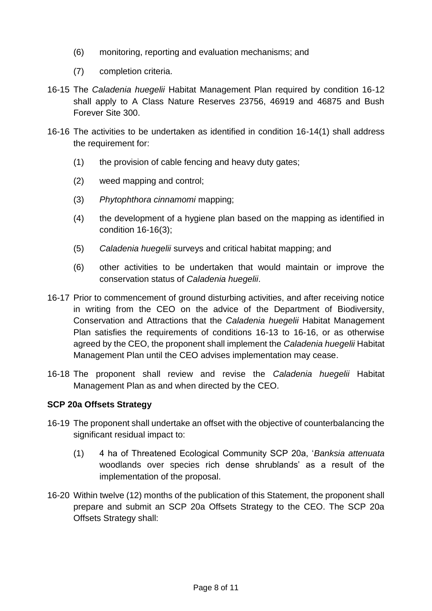- (6) monitoring, reporting and evaluation mechanisms; and
- (7) completion criteria.
- 16-15 The *Caladenia huegelii* Habitat Management Plan required by condition 16-12 shall apply to A Class Nature Reserves 23756, 46919 and 46875 and Bush Forever Site 300.
- 16-16 The activities to be undertaken as identified in condition 16-14(1) shall address the requirement for:
	- (1) the provision of cable fencing and heavy duty gates;
	- (2) weed mapping and control;
	- (3) *Phytophthora cinnamomi* mapping;
	- (4) the development of a hygiene plan based on the mapping as identified in condition 16-16(3);
	- (5) *Caladenia huegelii* surveys and critical habitat mapping; and
	- (6) other activities to be undertaken that would maintain or improve the conservation status of *Caladenia huegelii*.
- 16-17 Prior to commencement of ground disturbing activities, and after receiving notice in writing from the CEO on the advice of the Department of Biodiversity, Conservation and Attractions that the *Caladenia huegelii* Habitat Management Plan satisfies the requirements of conditions 16-13 to 16-16, or as otherwise agreed by the CEO, the proponent shall implement the *Caladenia huegelii* Habitat Management Plan until the CEO advises implementation may cease.
- 16-18 The proponent shall review and revise the *Caladenia huegelii* Habitat Management Plan as and when directed by the CEO.

#### **SCP 20a Offsets Strategy**

- 16-19 The proponent shall undertake an offset with the objective of counterbalancing the significant residual impact to:
	- (1) 4 ha of Threatened Ecological Community SCP 20a, '*Banksia attenuata* woodlands over species rich dense shrublands' as a result of the implementation of the proposal.
- 16-20 Within twelve (12) months of the publication of this Statement, the proponent shall prepare and submit an SCP 20a Offsets Strategy to the CEO. The SCP 20a Offsets Strategy shall: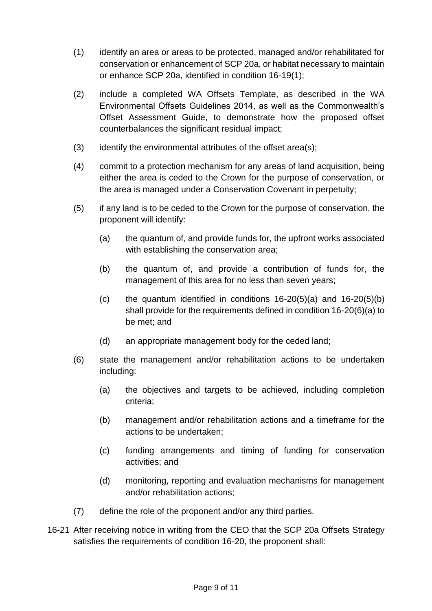- (1) identify an area or areas to be protected, managed and/or rehabilitated for conservation or enhancement of SCP 20a, or habitat necessary to maintain or enhance SCP 20a, identified in condition 16-19(1);
- (2) include a completed WA Offsets Template, as described in the WA Environmental Offsets Guidelines 2014, as well as the Commonwealth's Offset Assessment Guide, to demonstrate how the proposed offset counterbalances the significant residual impact;
- (3) identify the environmental attributes of the offset area(s);
- (4) commit to a protection mechanism for any areas of land acquisition, being either the area is ceded to the Crown for the purpose of conservation, or the area is managed under a Conservation Covenant in perpetuity;
- (5) if any land is to be ceded to the Crown for the purpose of conservation, the proponent will identify:
	- (a) the quantum of, and provide funds for, the upfront works associated with establishing the conservation area;
	- (b) the quantum of, and provide a contribution of funds for, the management of this area for no less than seven years;
	- (c) the quantum identified in conditions  $16-20(5)(a)$  and  $16-20(5)(b)$ shall provide for the requirements defined in condition 16-20(6)(a) to be met; and
	- (d) an appropriate management body for the ceded land;
- (6) state the management and/or rehabilitation actions to be undertaken including:
	- (a) the objectives and targets to be achieved, including completion criteria;
	- (b) management and/or rehabilitation actions and a timeframe for the actions to be undertaken;
	- (c) funding arrangements and timing of funding for conservation activities; and
	- (d) monitoring, reporting and evaluation mechanisms for management and/or rehabilitation actions;
- (7) define the role of the proponent and/or any third parties.
- 16-21 After receiving notice in writing from the CEO that the SCP 20a Offsets Strategy satisfies the requirements of condition 16-20, the proponent shall: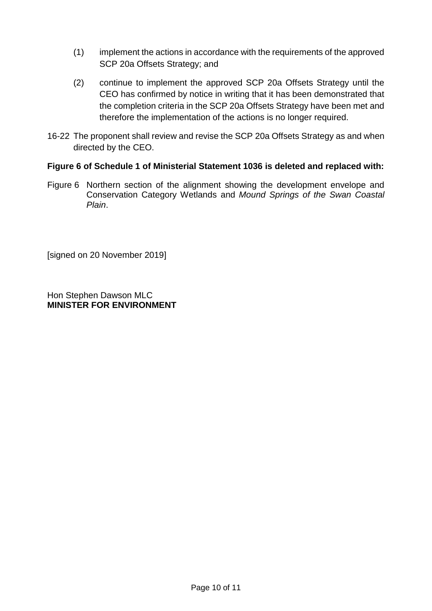- (1) implement the actions in accordance with the requirements of the approved SCP 20a Offsets Strategy; and
- (2) continue to implement the approved SCP 20a Offsets Strategy until the CEO has confirmed by notice in writing that it has been demonstrated that the completion criteria in the SCP 20a Offsets Strategy have been met and therefore the implementation of the actions is no longer required.
- 16-22 The proponent shall review and revise the SCP 20a Offsets Strategy as and when directed by the CEO.

#### **Figure 6 of Schedule 1 of Ministerial Statement 1036 is deleted and replaced with:**

Figure 6 Northern section of the alignment showing the development envelope and Conservation Category Wetlands and *Mound Springs of the Swan Coastal Plain*.

[signed on 20 November 2019]

Hon Stephen Dawson MLC **MINISTER FOR ENVIRONMENT**